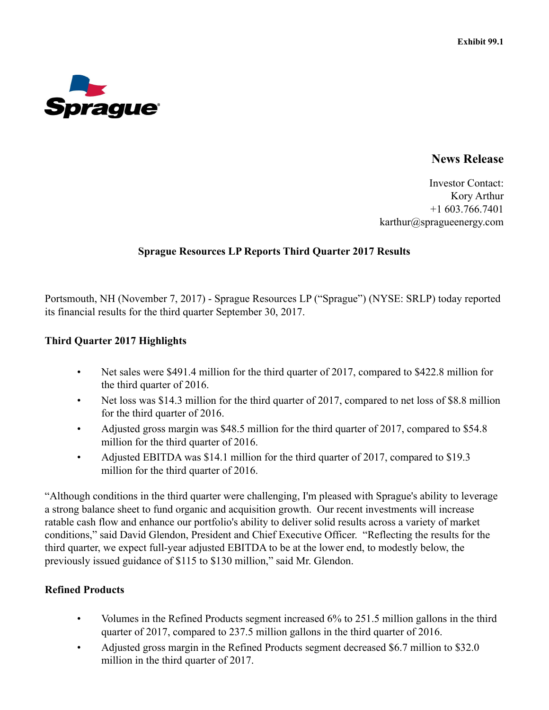

# **News Release**

Investor Contact: Kory Arthur +1 603.766.7401 karthur@spragueenergy.com

## **Sprague Resources LP Reports Third Quarter 2017 Results**

Portsmouth, NH (November 7, 2017) - Sprague Resources LP ("Sprague") (NYSE: SRLP) today reported its financial results for the third quarter September 30, 2017.

## **Third Quarter 2017 Highlights**

- Net sales were \$491.4 million for the third quarter of 2017, compared to \$422.8 million for the third quarter of 2016.
- Net loss was \$14.3 million for the third quarter of 2017, compared to net loss of \$8.8 million for the third quarter of 2016.
- Adjusted gross margin was \$48.5 million for the third quarter of 2017, compared to \$54.8 million for the third quarter of 2016.
- Adjusted EBITDA was \$14.1 million for the third quarter of 2017, compared to \$19.3 million for the third quarter of 2016.

"Although conditions in the third quarter were challenging, I'm pleased with Sprague's ability to leverage a strong balance sheet to fund organic and acquisition growth. Our recent investments will increase ratable cash flow and enhance our portfolio's ability to deliver solid results across a variety of market conditions," said David Glendon, President and Chief Executive Officer. "Reflecting the results for the third quarter, we expect full-year adjusted EBITDA to be at the lower end, to modestly below, the previously issued guidance of \$115 to \$130 million," said Mr. Glendon.

# **Refined Products**

- Volumes in the Refined Products segment increased 6% to 251.5 million gallons in the third quarter of 2017, compared to 237.5 million gallons in the third quarter of 2016.
- Adjusted gross margin in the Refined Products segment decreased \$6.7 million to \$32.0 million in the third quarter of 2017.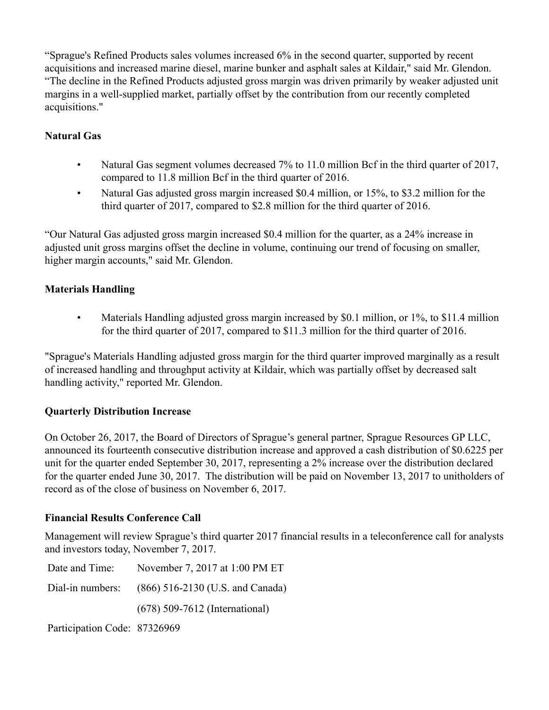"Sprague's Refined Products sales volumes increased 6% in the second quarter, supported by recent acquisitions and increased marine diesel, marine bunker and asphalt sales at Kildair," said Mr. Glendon. "The decline in the Refined Products adjusted gross margin was driven primarily by weaker adjusted unit margins in a well-supplied market, partially offset by the contribution from our recently completed acquisitions."

# **Natural Gas**

- Natural Gas segment volumes decreased 7% to 11.0 million Bcf in the third quarter of 2017, compared to 11.8 million Bcf in the third quarter of 2016.
- Natural Gas adjusted gross margin increased \$0.4 million, or 15%, to \$3.2 million for the third quarter of 2017, compared to \$2.8 million for the third quarter of 2016.

"Our Natural Gas adjusted gross margin increased \$0.4 million for the quarter, as a 24% increase in adjusted unit gross margins offset the decline in volume, continuing our trend of focusing on smaller, higher margin accounts," said Mr. Glendon.

# **Materials Handling**

• Materials Handling adjusted gross margin increased by \$0.1 million, or 1%, to \$11.4 million for the third quarter of 2017, compared to \$11.3 million for the third quarter of 2016.

"Sprague's Materials Handling adjusted gross margin for the third quarter improved marginally as a result of increased handling and throughput activity at Kildair, which was partially offset by decreased salt handling activity," reported Mr. Glendon.

## **Quarterly Distribution Increase**

On October 26, 2017, the Board of Directors of Sprague's general partner, Sprague Resources GP LLC, announced its fourteenth consecutive distribution increase and approved a cash distribution of \$0.6225 per unit for the quarter ended September 30, 2017, representing a 2% increase over the distribution declared for the quarter ended June 30, 2017. The distribution will be paid on November 13, 2017 to unitholders of record as of the close of business on November 6, 2017.

## **Financial Results Conference Call**

Management will review Sprague's third quarter 2017 financial results in a teleconference call for analysts and investors today, November 7, 2017.

|                              | Date and Time: November 7, 2017 at 1:00 PM ET     |
|------------------------------|---------------------------------------------------|
|                              | Dial-in numbers: (866) 516-2130 (U.S. and Canada) |
|                              | $(678)$ 509-7612 (International)                  |
| Participation Code: 87326969 |                                                   |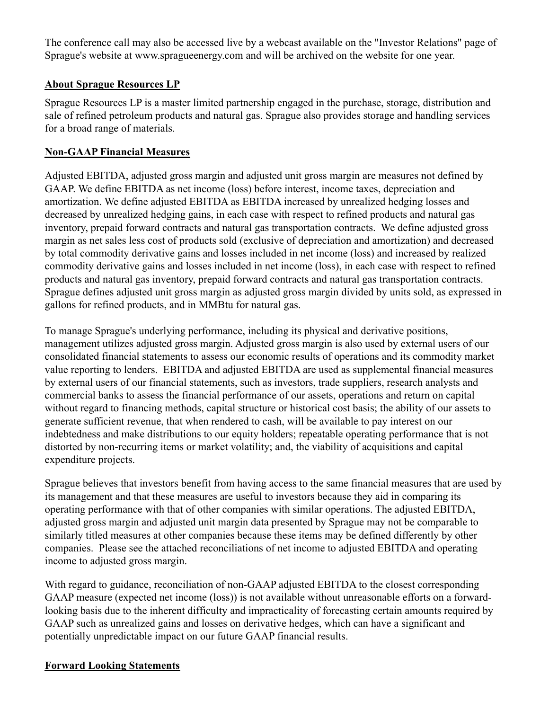The conference call may also be accessed live by a webcast available on the "Investor Relations" page of Sprague's website at www.spragueenergy.com and will be archived on the website for one year.

# **About Sprague Resources LP**

Sprague Resources LP is a master limited partnership engaged in the purchase, storage, distribution and sale of refined petroleum products and natural gas. Sprague also provides storage and handling services for a broad range of materials.

# **Non-GAAP Financial Measures**

Adjusted EBITDA, adjusted gross margin and adjusted unit gross margin are measures not defined by GAAP. We define EBITDA as net income (loss) before interest, income taxes, depreciation and amortization. We define adjusted EBITDA as EBITDA increased by unrealized hedging losses and decreased by unrealized hedging gains, in each case with respect to refined products and natural gas inventory, prepaid forward contracts and natural gas transportation contracts. We define adjusted gross margin as net sales less cost of products sold (exclusive of depreciation and amortization) and decreased by total commodity derivative gains and losses included in net income (loss) and increased by realized commodity derivative gains and losses included in net income (loss), in each case with respect to refined products and natural gas inventory, prepaid forward contracts and natural gas transportation contracts. Sprague defines adjusted unit gross margin as adjusted gross margin divided by units sold, as expressed in gallons for refined products, and in MMBtu for natural gas.

To manage Sprague's underlying performance, including its physical and derivative positions, management utilizes adjusted gross margin. Adjusted gross margin is also used by external users of our consolidated financial statements to assess our economic results of operations and its commodity market value reporting to lenders. EBITDA and adjusted EBITDA are used as supplemental financial measures by external users of our financial statements, such as investors, trade suppliers, research analysts and commercial banks to assess the financial performance of our assets, operations and return on capital without regard to financing methods, capital structure or historical cost basis; the ability of our assets to generate sufficient revenue, that when rendered to cash, will be available to pay interest on our indebtedness and make distributions to our equity holders; repeatable operating performance that is not distorted by non-recurring items or market volatility; and, the viability of acquisitions and capital expenditure projects.

Sprague believes that investors benefit from having access to the same financial measures that are used by its management and that these measures are useful to investors because they aid in comparing its operating performance with that of other companies with similar operations. The adjusted EBITDA, adjusted gross margin and adjusted unit margin data presented by Sprague may not be comparable to similarly titled measures at other companies because these items may be defined differently by other companies. Please see the attached reconciliations of net income to adjusted EBITDA and operating income to adjusted gross margin.

With regard to guidance, reconciliation of non-GAAP adjusted EBITDA to the closest corresponding GAAP measure (expected net income (loss)) is not available without unreasonable efforts on a forwardlooking basis due to the inherent difficulty and impracticality of forecasting certain amounts required by GAAP such as unrealized gains and losses on derivative hedges, which can have a significant and potentially unpredictable impact on our future GAAP financial results.

## **Forward Looking Statements**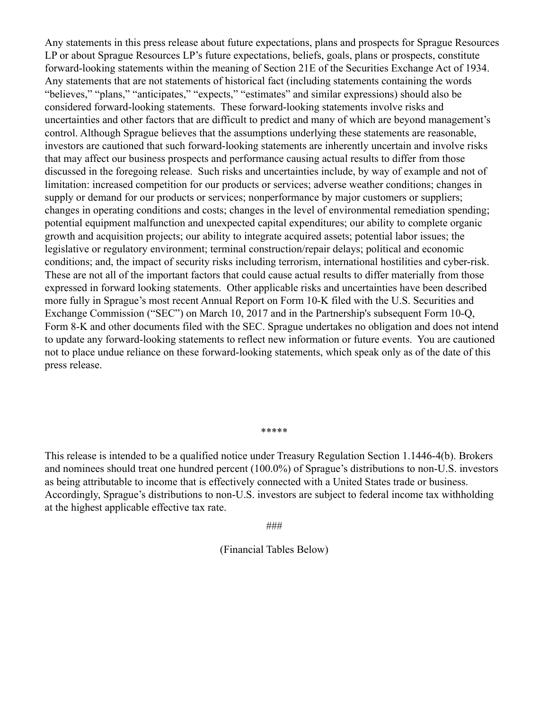Any statements in this press release about future expectations, plans and prospects for Sprague Resources LP or about Sprague Resources LP's future expectations, beliefs, goals, plans or prospects, constitute forward-looking statements within the meaning of Section 21E of the Securities Exchange Act of 1934. Any statements that are not statements of historical fact (including statements containing the words "believes," "plans," "anticipates," "expects," "estimates" and similar expressions) should also be considered forward-looking statements. These forward-looking statements involve risks and uncertainties and other factors that are difficult to predict and many of which are beyond management's control. Although Sprague believes that the assumptions underlying these statements are reasonable, investors are cautioned that such forward-looking statements are inherently uncertain and involve risks that may affect our business prospects and performance causing actual results to differ from those discussed in the foregoing release. Such risks and uncertainties include, by way of example and not of limitation: increased competition for our products or services; adverse weather conditions; changes in supply or demand for our products or services; nonperformance by major customers or suppliers; changes in operating conditions and costs; changes in the level of environmental remediation spending; potential equipment malfunction and unexpected capital expenditures; our ability to complete organic growth and acquisition projects; our ability to integrate acquired assets; potential labor issues; the legislative or regulatory environment; terminal construction/repair delays; political and economic conditions; and, the impact of security risks including terrorism, international hostilities and cyber-risk. These are not all of the important factors that could cause actual results to differ materially from those expressed in forward looking statements. Other applicable risks and uncertainties have been described more fully in Sprague's most recent Annual Report on Form 10-K filed with the U.S. Securities and Exchange Commission ("SEC") on March 10, 2017 and in the Partnership's subsequent Form 10-Q, Form 8-K and other documents filed with the SEC. Sprague undertakes no obligation and does not intend to update any forward-looking statements to reflect new information or future events. You are cautioned not to place undue reliance on these forward-looking statements, which speak only as of the date of this press release.

#### \*\*\*\*\*

This release is intended to be a qualified notice under Treasury Regulation Section 1.1446-4(b). Brokers and nominees should treat one hundred percent (100.0%) of Sprague's distributions to non-U.S. investors as being attributable to income that is effectively connected with a United States trade or business. Accordingly, Sprague's distributions to non-U.S. investors are subject to federal income tax withholding at the highest applicable effective tax rate.

###

(Financial Tables Below)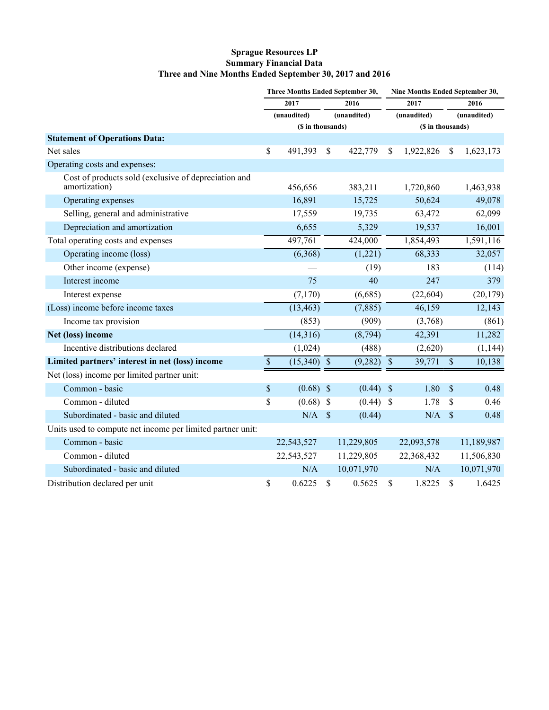#### **Sprague Resources LP Summary Financial Data Three and Nine Months Ended September 30, 2017 and 2016**

|                                                                       | Three Months Ended September 30, |               | Nine Months Ended September 30, |             |                   |             |                           |            |
|-----------------------------------------------------------------------|----------------------------------|---------------|---------------------------------|-------------|-------------------|-------------|---------------------------|------------|
|                                                                       | 2017                             |               | 2016                            |             | 2017              |             | 2016                      |            |
|                                                                       |                                  | (unaudited)   |                                 | (unaudited) |                   | (unaudited) | (unaudited)               |            |
|                                                                       | (\$ in thousands)                |               |                                 |             | (\$ in thousands) |             |                           |            |
| <b>Statement of Operations Data:</b>                                  |                                  |               |                                 |             |                   |             |                           |            |
| Net sales                                                             | \$                               | 491,393       | \$                              | 422,779     | S                 | 1,922,826   | \$                        | 1,623,173  |
| Operating costs and expenses:                                         |                                  |               |                                 |             |                   |             |                           |            |
| Cost of products sold (exclusive of depreciation and<br>amortization) |                                  | 456,656       |                                 | 383,211     |                   | 1,720,860   |                           | 1,463,938  |
| Operating expenses                                                    |                                  | 16,891        |                                 | 15,725      |                   | 50,624      |                           | 49,078     |
| Selling, general and administrative                                   |                                  | 17,559        |                                 | 19,735      |                   | 63,472      |                           | 62,099     |
| Depreciation and amortization                                         |                                  | 6,655         |                                 | 5,329       |                   | 19,537      |                           | 16,001     |
| Total operating costs and expenses                                    |                                  | 497,761       |                                 | 424,000     |                   | 1,854,493   |                           | 1,591,116  |
| Operating income (loss)                                               |                                  | (6,368)       |                                 | (1,221)     |                   | 68,333      |                           | 32,057     |
| Other income (expense)                                                |                                  |               |                                 | (19)        |                   | 183         |                           | (114)      |
| Interest income                                                       |                                  | 75            |                                 | 40          |                   | 247         |                           | 379        |
| Interest expense                                                      |                                  | (7,170)       |                                 | (6,685)     |                   | (22, 604)   |                           | (20, 179)  |
| (Loss) income before income taxes                                     |                                  | (13, 463)     |                                 | (7,885)     |                   | 46,159      |                           | 12,143     |
| Income tax provision                                                  |                                  | (853)         |                                 | (909)       |                   | (3,768)     |                           | (861)      |
| Net (loss) income                                                     |                                  | (14,316)      |                                 | (8,794)     |                   | 42,391      |                           | 11,282     |
| Incentive distributions declared                                      |                                  | (1,024)       |                                 | (488)       |                   | (2,620)     |                           | (1, 144)   |
| Limited partners' interest in net (loss) income                       | $\boldsymbol{\mathsf{S}}$        | $(15,340)$ \$ |                                 | (9,282)     | $\sqrt{3}$        | 39,771      | $\mathcal{S}$             | 10,138     |
| Net (loss) income per limited partner unit:                           |                                  |               |                                 |             |                   |             |                           |            |
| Common - basic                                                        | $\$$                             | $(0.68)$ \$   |                                 | $(0.44)$ \$ |                   | 1.80        | $\boldsymbol{\mathsf{S}}$ | 0.48       |
| Common - diluted                                                      | \$                               | (0.68)        | $\mathbf{\$}$                   | $(0.44)$ \$ |                   | 1.78        | \$                        | 0.46       |
| Subordinated - basic and diluted                                      |                                  | $N/A$ \$      |                                 | (0.44)      |                   | N/A         | $\mathcal{S}$             | 0.48       |
| Units used to compute net income per limited partner unit:            |                                  |               |                                 |             |                   |             |                           |            |
| Common - basic                                                        |                                  | 22,543,527    |                                 | 11,229,805  |                   | 22,093,578  |                           | 11,189,987 |
| Common - diluted                                                      |                                  | 22,543,527    |                                 | 11,229,805  |                   | 22,368,432  |                           | 11,506,830 |
| Subordinated - basic and diluted                                      |                                  | N/A           |                                 | 10,071,970  |                   | N/A         |                           | 10,071,970 |
| Distribution declared per unit                                        | \$                               | 0.6225        | \$                              | 0.5625      | \$                | 1.8225      | $\mathbf{\$}$             | 1.6425     |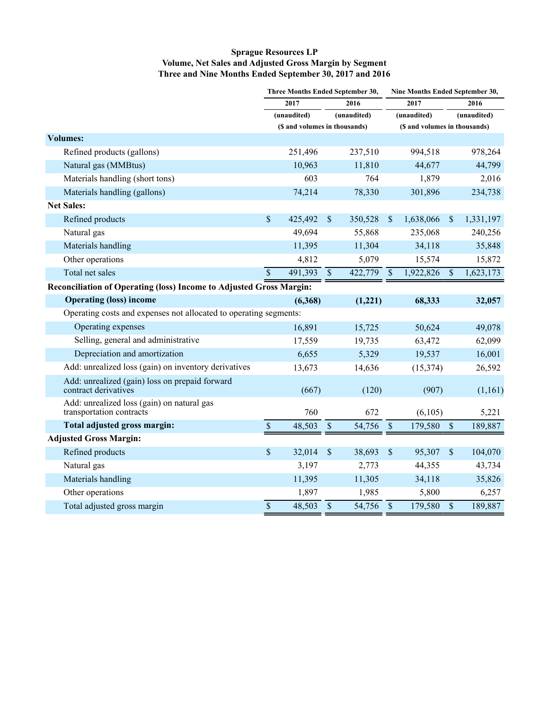#### **Sprague Resources LP Volume, Net Sales and Adjusted Gross Margin by Segment Three and Nine Months Ended September 30, 2017 and 2016**

|                                                                        | Three Months Ended September 30, |                               |                          | Nine Months Ended September 30, |                 |             |                               |             |  |
|------------------------------------------------------------------------|----------------------------------|-------------------------------|--------------------------|---------------------------------|-----------------|-------------|-------------------------------|-------------|--|
|                                                                        | 2017                             |                               | 2016                     |                                 | 2017            |             | 2016                          |             |  |
|                                                                        |                                  | (unaudited)                   |                          | (unaudited)                     |                 | (unaudited) |                               | (unaudited) |  |
|                                                                        |                                  | (\$ and volumes in thousands) |                          |                                 |                 |             | (\$ and volumes in thousands) |             |  |
| <b>Volumes:</b>                                                        |                                  |                               |                          |                                 |                 |             |                               |             |  |
| Refined products (gallons)                                             |                                  | 251,496                       |                          | 237,510                         |                 | 994,518     |                               | 978,264     |  |
| Natural gas (MMBtus)                                                   |                                  | 10,963                        |                          | 11,810                          |                 | 44,677      |                               | 44,799      |  |
| Materials handling (short tons)                                        |                                  | 603                           |                          | 764                             |                 | 1,879       |                               | 2,016       |  |
| Materials handling (gallons)                                           |                                  | 74,214                        |                          | 78,330                          |                 | 301,896     |                               | 234,738     |  |
| <b>Net Sales:</b>                                                      |                                  |                               |                          |                                 |                 |             |                               |             |  |
| Refined products                                                       | \$                               | 425,492                       | $\$$                     | 350,528                         | $\mathbb{S}$    | 1,638,066   | $\boldsymbol{\mathsf{S}}$     | 1,331,197   |  |
| Natural gas                                                            |                                  | 49,694                        |                          | 55,868                          |                 | 235,068     |                               | 240,256     |  |
| Materials handling                                                     |                                  | 11,395                        |                          | 11,304                          |                 | 34,118      |                               | 35,848      |  |
| Other operations                                                       |                                  | 4,812                         |                          | 5,079                           |                 | 15,574      |                               | 15,872      |  |
| Total net sales                                                        | $\overline{\mathcal{S}}$         | 491,393                       | $\overline{\mathcal{S}}$ | $\frac{422,779}{S}$             |                 | 1,922,826   | $\overline{\$}$               | 1,623,173   |  |
| Reconciliation of Operating (loss) Income to Adjusted Gross Margin:    |                                  |                               |                          |                                 |                 |             |                               |             |  |
| <b>Operating (loss) income</b>                                         |                                  | (6,368)                       |                          | (1,221)                         |                 | 68,333      |                               | 32,057      |  |
| Operating costs and expenses not allocated to operating segments:      |                                  |                               |                          |                                 |                 |             |                               |             |  |
| Operating expenses                                                     |                                  | 16,891                        |                          | 15,725                          |                 | 50,624      |                               | 49,078      |  |
| Selling, general and administrative                                    |                                  | 17,559                        |                          | 19,735                          |                 | 63,472      |                               | 62,099      |  |
| Depreciation and amortization                                          |                                  | 6,655                         |                          | 5,329                           |                 | 19,537      |                               | 16,001      |  |
| Add: unrealized loss (gain) on inventory derivatives                   |                                  | 13,673                        |                          | 14,636                          |                 | (15, 374)   |                               | 26,592      |  |
| Add: unrealized (gain) loss on prepaid forward<br>contract derivatives |                                  | (667)                         |                          | (120)                           |                 | (907)       |                               | (1,161)     |  |
| Add: unrealized loss (gain) on natural gas<br>transportation contracts |                                  | 760                           |                          | 672                             |                 | (6,105)     |                               | 5,221       |  |
| Total adjusted gross margin:                                           | $\mathcal{S}$                    | 48,503                        | $\mathbb S$              | 54,756                          | $\mathcal{S}$   | 179,580     | $\$$                          | 189,887     |  |
| <b>Adjusted Gross Margin:</b>                                          |                                  |                               |                          |                                 |                 |             |                               |             |  |
| Refined products                                                       | \$                               | 32,014                        | \$                       | 38,693                          | \$              | 95,307      | $\boldsymbol{\mathsf{S}}$     | 104,070     |  |
| Natural gas                                                            |                                  | 3,197                         |                          | 2,773                           |                 | 44,355      |                               | 43,734      |  |
| Materials handling                                                     |                                  | 11,395                        |                          | 11,305                          |                 | 34,118      |                               | 35,826      |  |
| Other operations                                                       |                                  | 1,897                         |                          | 1,985                           |                 | 5,800       |                               | 6,257       |  |
| Total adjusted gross margin                                            | \$                               | 48,503 \$                     |                          | 54,756                          | $\overline{\$}$ | 179,580     | $\$$                          | 189,887     |  |